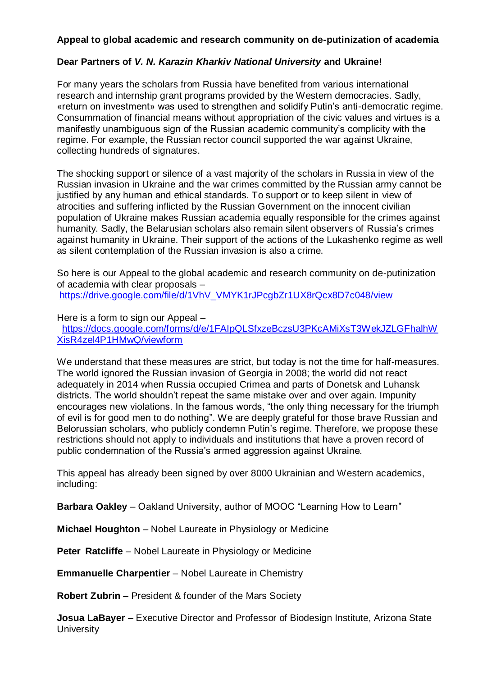## **Appeal to global academic and research community on de-putinization of academia**

## **Dear Partners of** *V. N. Karazin Kharkiv National University* **and Ukraine!**

For many years the scholars from Russia have benefited from various international research and internship grant programs provided by the Western democracies. Sadly, «return on investment» was used to strengthen and solidify Putin's anti-democratic regime. Consummation of financial means without appropriation of the civic values and virtues is a manifestly unambiguous sign of the Russian academic community's complicity with the regime. For example, the Russian rector council supported the war against Ukraine, collecting hundreds of signatures.

The shocking support or silence of a vast majority of the scholars in Russia in view of the Russian invasion in Ukraine and the war crimes committed by the Russian army cannot be justified by any human and ethical standards. To support or to keep silent in view of atrocities and suffering inflicted by the Russian Government on the innocent civilian population of Ukraine makes Russian academia equally responsible for the crimes against humanity. Sadly, the Belarusian scholars also remain silent observers of Russia's crimes against humanity in Ukraine. Their support of the actions of the Lukashenko regime as well as silent contemplation of the Russian invasion is also a crime.

So here is our Appeal to the global academic and research community on de-putinization of academia with clear proposals – [https://drive.google.com/file/d/1VhV\\_VMYK1rJPcgbZr1UX8rQcx8D7c048/view](https://drive.google.com/file/d/1VhV_VMYK1rJPcgbZr1UX8rQcx8D7c048/view)

Here is a form to sign our Appeal – [https://docs.google.com/forms/d/e/1FAIpQLSfxzeBczsU3PKcAMiXsT3WekJZLGFhalhW](https://docs.google.com/forms/d/e/1FAIpQLSfxzeBczsU3PKcAMiXsT3WekJZLGFhalhWXisR4zel4P1HMwQ/viewform) [XisR4zel4P1HMwQ/viewform](https://docs.google.com/forms/d/e/1FAIpQLSfxzeBczsU3PKcAMiXsT3WekJZLGFhalhWXisR4zel4P1HMwQ/viewform)

We understand that these measures are strict, but today is not the time for half-measures. The world ignored the Russian invasion of Georgia in 2008; the world did not react adequately in 2014 when Russia occupied Crimea and parts of Donetsk and Luhansk districts. The world shouldn't repeat the same mistake over and over again. Impunity encourages new violations. In the famous words, "the only thing necessary for the triumph of evil is for good men to do nothing". We are deeply grateful for those brave Russian and Belorussian scholars, who publicly condemn Putin's regime. Therefore, we propose these restrictions should not apply to individuals and institutions that have a proven record of public condemnation of the Russia's armed aggression against Ukraine.

This appeal has already been signed by over 8000 Ukrainian and Western academics, including:

**Barbara Oakley** – Oakland University, author of MOOC "Learning How to Learn"

**Michael Houghton** – Nobel Laureate in Physiology or Medicine

**Peter Ratcliffe** – Nobel Laureate in Physiology or Medicine

**Emmanuelle Charpentier** – Nobel Laureate in Chemistry

**Robert Zubrin** – President & founder of the Mars Society

**Josua LaBayer** – Executive Director and Professor of Biodesign Institute, Arizona State **University**